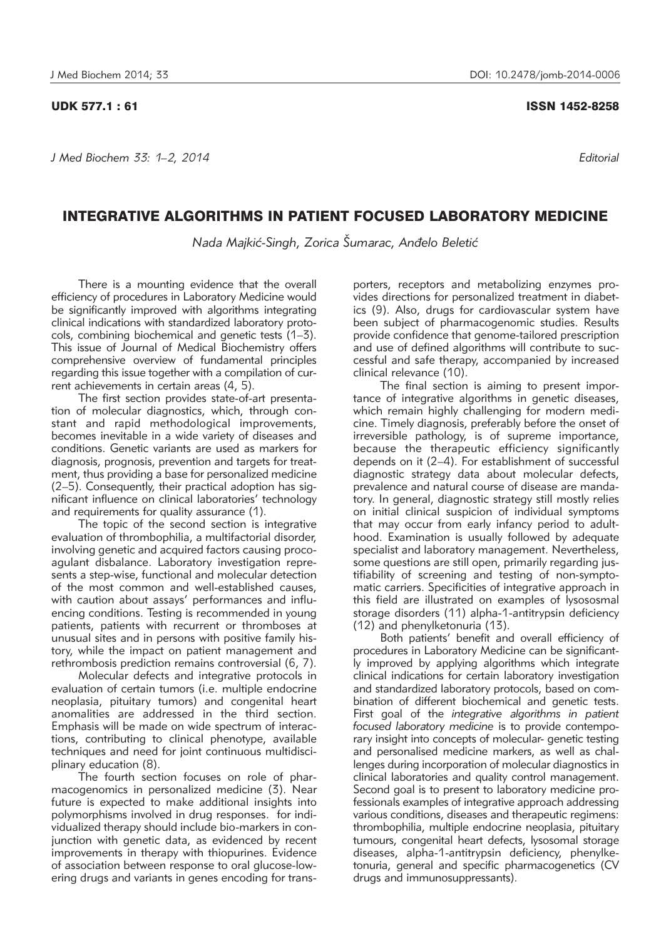*J Med Biochem 33: 1–2, 2014 Editorial*

## INTEGRATIVE ALGORITHMS IN PATIENT FOCUSED LABORATORY MEDICINE

*Nada Majki}-Singh, Zorica [umarac, An|elo Beleti}*

There is a mounting evidence that the overall efficiency of procedures in Laboratory Medicine would be significantly improved with algorithms integrating clinical indications with standardized laboratory protocols, combining biochemical and genetic tests (1–3). This issue of Journal of Medical Biochemistry offers comprehensive overview of fundamental principles regarding this issue together with a compilation of current achievements in certain areas (4, 5).

The first section provides state-of-art presentation of molecular diagnostics, which, through constant and rapid methodological improvements, becomes inevitable in a wide variety of diseases and conditions. Genetic variants are used as markers for diagnosis, prognosis, prevention and targets for treatment, thus providing a base for personalized medicine (2–5). Consequently, their practical adoption has significant influence on clinical laboratories' technology and requirements for quality assurance (1).

The topic of the second section is integrative evaluation of thrombophilia, a multifactorial disorder, involving genetic and acquired factors causing procoagulant disbalance. Laboratory investigation represents a step-wise, functional and molecular detection of the most common and well-established causes, with caution about assays' performances and influencing conditions. Testing is recommended in young patients, patients with recurrent or thromboses at unusual sites and in persons with positive family history, while the impact on patient management and rethrombosis prediction remains controversial (6, 7).

Molecular defects and integrative protocols in evaluation of certain tumors (i.e. multiple endocrine neoplasia, pituitary tumors) and congenital heart ano malities are addressed in the third section. Emphasis will be made on wide spectrum of interactions, contributing to clinical phenotype, available techniques and need for joint continuous multidisciplinary education (8).

The fourth section focuses on role of pharmacogenomics in personalized medicine (3). Near future is expected to make additional insights into polymorphisms involved in drug responses. for individualized therapy should include bio-markers in conjunction with genetic data, as evidenced by recent improvements in therapy with thiopurines. Evidence of association between response to oral glucose-lowering drugs and variants in genes encoding for trans-

porters, receptors and metabolizing enzymes provides directions for personalized treatment in diabetics (9). Also, drugs for cardiovascular system have been subject of pharmacogenomic studies. Results provide confidence that genome-tailored prescription and use of defined algorithms will contribute to successful and safe therapy, accompanied by increased clinical relevance (10).

The final section is aiming to present importance of integrative algorithms in genetic diseases, which remain highly challenging for modern medicine. Timely diagnosis, preferably before the onset of irreversible pathology, is of supreme importance, because the therapeutic efficiency significantly depends on it (2–4). For establishment of successful diagnostic strategy data about molecular defects, prevalence and natural course of disease are mandatory. In general, diagnostic strategy still mostly relies on initial clinical suspicion of individual symptoms that may occur from early infancy period to adulthood. Examination is usually followed by adequate specialist and laboratory management. Nevertheless, some questions are still open, primarily regarding justifiability of screening and testing of non-symptomatic carriers. Specificities of integrative approach in this field are illustrated on examples of lysososmal storage disorders (11) alpha-1-antitrypsin deficiency (12) and phenylketonuria (13).

Both patients' benefit and overall efficiency of procedures in Laboratory Medicine can be significantly improved by applying algorithms which integrate clinical indications for certain laboratory investigation and standardized laboratory protocols, based on combination of different biochemical and genetic tests. First goal of the *integrative algorithms in patient focused laboratory medicine* is to provide contemporary insight into concepts of molecular- genetic testing and personalised medicine markers, as well as challenges during incorporation of molecular diagnostics in clinical laboratories and quality control management. Second goal is to present to laboratory medicine professionals examples of integrative approach addressing various conditions, diseases and therapeutic regimens: thrombophilia, multiple endocrine neoplasia, pituitary tumours, congenital heart defects, lysosomal storage diseases, alpha-1-antitrypsin deficiency, phenylketonuria, general and specific pharmacogenetics (CV drugs and immunosuppressants).

## UDK 577.1 : 61 ISSN 1452-8258